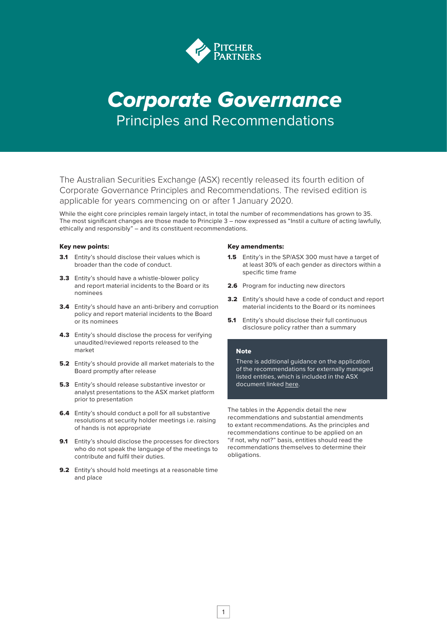

## *Corporate* G*overnance* Principles and Recommendations

The Australian Securities Exchange (ASX) recently released its fourth edition of Corporate Governance Principles and Recommendations. The revised edition is applicable for years commencing on or after 1 January 2020.

While the eight core principles remain largely intact, in total the number of recommendations has grown to 35. The most significant changes are those made to Principle 3 – now expressed as "Instil a culture of acting lawfully, ethically and responsibly" – and its constituent recommendations.

#### Key new points:

- **3.1** Entity's should disclose their values which is broader than the code of conduct.
- **3.3** Entity's should have a whistle-blower policy and report material incidents to the Board or its nominees
- **3.4** Entity's should have an anti-bribery and corruption policy and report material incidents to the Board or its nominees
- 4.3 Entity's should disclose the process for verifying unaudited/reviewed reports released to the market
- 5.2 Entity's should provide all market materials to the Board promptly after release
- **5.3** Entity's should release substantive investor or analyst presentations to the ASX market platform prior to presentation
- 6.4 Entity's should conduct a poll for all substantive resolutions at security holder meetings i.e. raising of hands is not appropriate
- 9.1 Entity's should disclose the processes for directors who do not speak the language of the meetings to contribute and fulfil their duties.
- 9.2 Entity's should hold meetings at a reasonable time and place

#### Key amendments:

- 1.5 Entity's in the SP/ASX 300 must have a target of at least 30% of each gender as directors within a specific time frame
- 2.6 Program for inducting new directors
- 3.2 Entity's should have a code of conduct and report material incidents to the Board or its nominees
- **5.1** Entity's should disclose their full continuous disclosure policy rather than a summary

#### **Note**

There is additional guidance on the application of the recommendations for externally managed listed entities, which is included in the ASX document linked here.

The tables in the Appendix detail the new recommendations and substantial amendments to extant recommendations. As the principles and recommendations continue to be applied on an "if not, why not?" basis, entities should read the recommendations themselves to determine their obligations.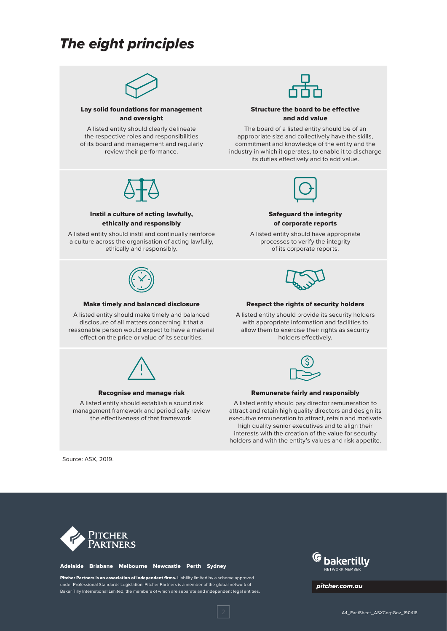### *The eight principles*



#### Lay solid foundations for management and oversight

A listed entity should clearly delineate the respective roles and responsibilities of its board and management and regularly review their performance.



#### Structure the board to be effective and add value

The board of a listed entity should be of an appropriate size and collectively have the skills, commitment and knowledge of the entity and the industry in which it operates, to enable it to discharge its duties effectively and to add value.



#### Safeguard the integrity of corporate reports

A listed entity should have appropriate processes to verify the integrity of its corporate reports.



Instil a culture of acting lawfully, ethically and responsibly A listed entity should instil and continually reinforce a culture across the organisation of acting lawfully, ethically and responsibly.

#### Make timely and balanced disclosure

A listed entity should make timely and balanced disclosure of all matters concerning it that a reasonable person would expect to have a material effect on the price or value of its securities.



#### Respect the rights of security holders

A listed entity should provide its security holders with appropriate information and facilities to allow them to exercise their rights as security holders effectively.



#### Recognise and manage risk

A listed entity should establish a sound risk management framework and periodically review the effectiveness of that framework.



#### Remunerate fairly and responsibly

A listed entity should pay director remuneration to attract and retain high quality directors and design its executive remuneration to attract, retain and motivate high quality senior executives and to align their interests with the creation of the value for security holders and with the entity's values and risk appetite.

Source: ASX, 2019.



#### Adelaide Brisbane Melbourne Newcastle Perth Sydney

Pitcher Partners is an association of independent firms. Liability limited by a scheme approved under Professional Standards Legislation. Pitcher Partners is a member of the global network of Baker Tilly International Limited, the members of which are separate and independent legal entities.



*pitcher.com.au*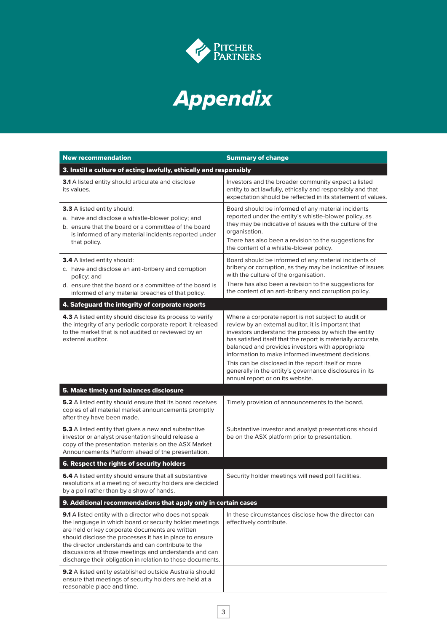

# *Appendix*

| <b>New recommendation</b>                                                                                                                                                                                                                                                                                                                                                                                    | <b>Summary of change</b>                                                                                                                                                                                                                                                                                                                                                                                                                                                                          |  |
|--------------------------------------------------------------------------------------------------------------------------------------------------------------------------------------------------------------------------------------------------------------------------------------------------------------------------------------------------------------------------------------------------------------|---------------------------------------------------------------------------------------------------------------------------------------------------------------------------------------------------------------------------------------------------------------------------------------------------------------------------------------------------------------------------------------------------------------------------------------------------------------------------------------------------|--|
| 3. Instill a culture of acting lawfully, ethically and responsibly                                                                                                                                                                                                                                                                                                                                           |                                                                                                                                                                                                                                                                                                                                                                                                                                                                                                   |  |
| 3.1 A listed entity should articulate and disclose<br>its values.                                                                                                                                                                                                                                                                                                                                            | Investors and the broader community expect a listed<br>entity to act lawfully, ethically and responsibly and that<br>expectation should be reflected in its statement of values.                                                                                                                                                                                                                                                                                                                  |  |
| <b>3.3</b> A listed entity should:<br>a. have and disclose a whistle-blower policy; and<br>b. ensure that the board or a committee of the board<br>is informed of any material incidents reported under<br>that policy.                                                                                                                                                                                      | Board should be informed of any material incidents<br>reported under the entity's whistle-blower policy, as<br>they may be indicative of issues with the culture of the<br>organisation.<br>There has also been a revision to the suggestions for<br>the content of a whistle-blower policy.                                                                                                                                                                                                      |  |
| <b>3.4</b> A listed entity should:<br>c. have and disclose an anti-bribery and corruption<br>policy; and<br>d. ensure that the board or a committee of the board is<br>informed of any material breaches of that policy.                                                                                                                                                                                     | Board should be informed of any material incidents of<br>bribery or corruption, as they may be indicative of issues<br>with the culture of the organisation.<br>There has also been a revision to the suggestions for<br>the content of an anti-bribery and corruption policy.                                                                                                                                                                                                                    |  |
| 4. Safeguard the integrity of corporate reports                                                                                                                                                                                                                                                                                                                                                              |                                                                                                                                                                                                                                                                                                                                                                                                                                                                                                   |  |
| 4.3 A listed entity should disclose its process to verify<br>the integrity of any periodic corporate report it released<br>to the market that is not audited or reviewed by an<br>external auditor.                                                                                                                                                                                                          | Where a corporate report is not subject to audit or<br>review by an external auditor, it is important that<br>investors understand the process by which the entity<br>has satisfied itself that the report is materially accurate,<br>balanced and provides investors with appropriate<br>information to make informed investment decisions.<br>This can be disclosed in the report itself or more<br>generally in the entity's governance disclosures in its<br>annual report or on its website. |  |
| 5. Make timely and balances disclosure                                                                                                                                                                                                                                                                                                                                                                       |                                                                                                                                                                                                                                                                                                                                                                                                                                                                                                   |  |
| <b>5.2</b> A listed entity should ensure that its board receives<br>copies of all material market announcements promptly<br>after they have been made.                                                                                                                                                                                                                                                       | Timely provision of announcements to the board.                                                                                                                                                                                                                                                                                                                                                                                                                                                   |  |
| <b>5.3</b> A listed entity that gives a new and substantive<br>investor or analyst presentation should release a<br>copy of the presentation materials on the ASX Market<br>Announcements Platform ahead of the presentation.                                                                                                                                                                                | Substantive investor and analyst presentations should<br>be on the ASX platform prior to presentation.                                                                                                                                                                                                                                                                                                                                                                                            |  |
| 6. Respect the rights of security holders                                                                                                                                                                                                                                                                                                                                                                    |                                                                                                                                                                                                                                                                                                                                                                                                                                                                                                   |  |
| 6.4 A listed entity should ensure that all substantive<br>resolutions at a meeting of security holders are decided<br>by a poll rather than by a show of hands.                                                                                                                                                                                                                                              | Security holder meetings will need poll facilities.                                                                                                                                                                                                                                                                                                                                                                                                                                               |  |
| 9. Additional recommendations that apply only in certain cases                                                                                                                                                                                                                                                                                                                                               |                                                                                                                                                                                                                                                                                                                                                                                                                                                                                                   |  |
| 9.1 A listed entity with a director who does not speak<br>the language in which board or security holder meetings<br>are held or key corporate documents are written<br>should disclose the processes it has in place to ensure<br>the director understands and can contribute to the<br>discussions at those meetings and understands and can<br>discharge their obligation in relation to those documents. | In these circumstances disclose how the director can<br>effectively contribute.                                                                                                                                                                                                                                                                                                                                                                                                                   |  |
| 9.2 A listed entity established outside Australia should<br>ensure that meetings of security holders are held at a<br>reasonable place and time.                                                                                                                                                                                                                                                             |                                                                                                                                                                                                                                                                                                                                                                                                                                                                                                   |  |